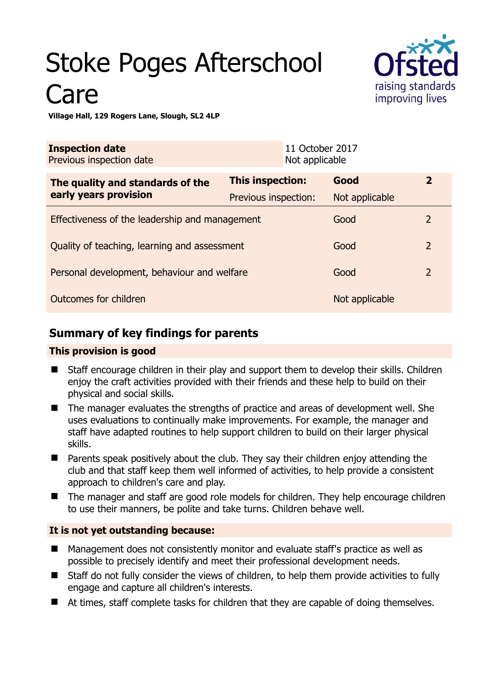# Stoke Poges Afterschool **Care**



**Village Hall, 129 Rogers Lane, Slough, SL2 4LP** 

| <b>Inspection date</b><br>Previous inspection date |                         | 11 October 2017<br>Not applicable |                |                |
|----------------------------------------------------|-------------------------|-----------------------------------|----------------|----------------|
| The quality and standards of the                   | <b>This inspection:</b> |                                   | Good           | $\overline{2}$ |
| early years provision                              | Previous inspection:    |                                   | Not applicable |                |
| Effectiveness of the leadership and management     |                         |                                   | Good           | 2              |
| Quality of teaching, learning and assessment       |                         |                                   | Good           | $\overline{2}$ |
| Personal development, behaviour and welfare        |                         |                                   | Good           | $\overline{2}$ |
| Outcomes for children                              |                         |                                   | Not applicable |                |

# **Summary of key findings for parents**

## **This provision is good**

- Staff encourage children in their play and support them to develop their skills. Children enjoy the craft activities provided with their friends and these help to build on their physical and social skills.
- The manager evaluates the strengths of practice and areas of development well. She uses evaluations to continually make improvements. For example, the manager and staff have adapted routines to help support children to build on their larger physical skills.
- Parents speak positively about the club. They say their children enjoy attending the club and that staff keep them well informed of activities, to help provide a consistent approach to children's care and play.
- The manager and staff are good role models for children. They help encourage children to use their manners, be polite and take turns. Children behave well.

## **It is not yet outstanding because:**

- Management does not consistently monitor and evaluate staff's practice as well as possible to precisely identify and meet their professional development needs.
- Staff do not fully consider the views of children, to help them provide activities to fully engage and capture all children's interests.
- At times, staff complete tasks for children that they are capable of doing themselves.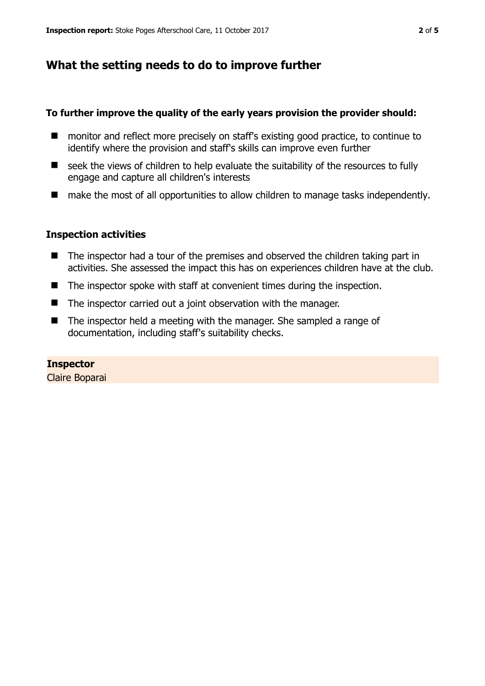## **What the setting needs to do to improve further**

## **To further improve the quality of the early years provision the provider should:**

- monitor and reflect more precisely on staff's existing good practice, to continue to identify where the provision and staff's skills can improve even further
- seek the views of children to help evaluate the suitability of the resources to fully engage and capture all children's interests
- make the most of all opportunities to allow children to manage tasks independently.

## **Inspection activities**

- The inspector had a tour of the premises and observed the children taking part in activities. She assessed the impact this has on experiences children have at the club.
- The inspector spoke with staff at convenient times during the inspection.
- The inspector carried out a joint observation with the manager.
- $\blacksquare$  The inspector held a meeting with the manager. She sampled a range of documentation, including staff's suitability checks.

# **Inspector**

Claire Boparai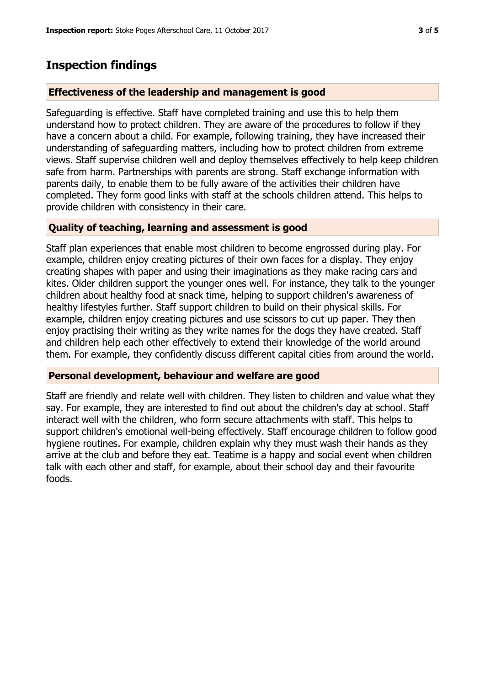# **Inspection findings**

## **Effectiveness of the leadership and management is good**

Safeguarding is effective. Staff have completed training and use this to help them understand how to protect children. They are aware of the procedures to follow if they have a concern about a child. For example, following training, they have increased their understanding of safeguarding matters, including how to protect children from extreme views. Staff supervise children well and deploy themselves effectively to help keep children safe from harm. Partnerships with parents are strong. Staff exchange information with parents daily, to enable them to be fully aware of the activities their children have completed. They form good links with staff at the schools children attend. This helps to provide children with consistency in their care.

## **Quality of teaching, learning and assessment is good**

Staff plan experiences that enable most children to become engrossed during play. For example, children enjoy creating pictures of their own faces for a display. They enjoy creating shapes with paper and using their imaginations as they make racing cars and kites. Older children support the younger ones well. For instance, they talk to the younger children about healthy food at snack time, helping to support children's awareness of healthy lifestyles further. Staff support children to build on their physical skills. For example, children enjoy creating pictures and use scissors to cut up paper. They then enjoy practising their writing as they write names for the dogs they have created. Staff and children help each other effectively to extend their knowledge of the world around them. For example, they confidently discuss different capital cities from around the world.

## **Personal development, behaviour and welfare are good**

Staff are friendly and relate well with children. They listen to children and value what they say. For example, they are interested to find out about the children's day at school. Staff interact well with the children, who form secure attachments with staff. This helps to support children's emotional well-being effectively. Staff encourage children to follow good hygiene routines. For example, children explain why they must wash their hands as they arrive at the club and before they eat. Teatime is a happy and social event when children talk with each other and staff, for example, about their school day and their favourite foods.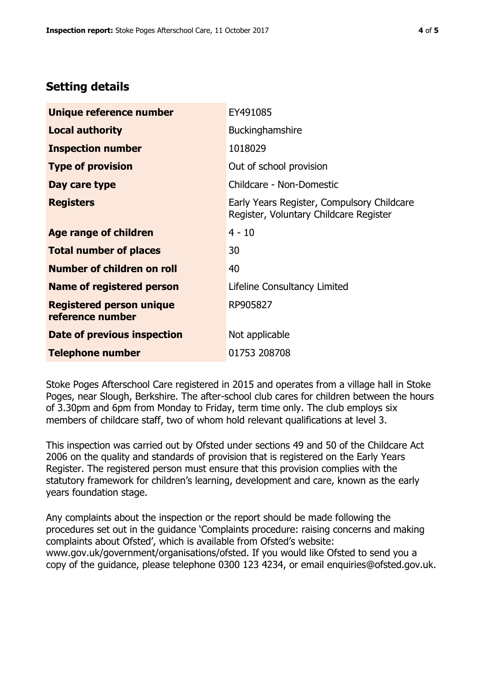## **Setting details**

| Unique reference number                             | EY491085                                                                             |  |
|-----------------------------------------------------|--------------------------------------------------------------------------------------|--|
| <b>Local authority</b>                              | Buckinghamshire                                                                      |  |
| <b>Inspection number</b>                            | 1018029                                                                              |  |
| <b>Type of provision</b>                            | Out of school provision                                                              |  |
| Day care type                                       | Childcare - Non-Domestic                                                             |  |
| <b>Registers</b>                                    | Early Years Register, Compulsory Childcare<br>Register, Voluntary Childcare Register |  |
| Age range of children                               | $4 - 10$                                                                             |  |
| <b>Total number of places</b>                       | 30                                                                                   |  |
| Number of children on roll                          | 40                                                                                   |  |
| <b>Name of registered person</b>                    | Lifeline Consultancy Limited                                                         |  |
| <b>Registered person unique</b><br>reference number | RP905827                                                                             |  |
| Date of previous inspection                         | Not applicable                                                                       |  |
| <b>Telephone number</b>                             | 01753 208708                                                                         |  |

Stoke Poges Afterschool Care registered in 2015 and operates from a village hall in Stoke Poges, near Slough, Berkshire. The after-school club cares for children between the hours of 3.30pm and 6pm from Monday to Friday, term time only. The club employs six members of childcare staff, two of whom hold relevant qualifications at level 3.

This inspection was carried out by Ofsted under sections 49 and 50 of the Childcare Act 2006 on the quality and standards of provision that is registered on the Early Years Register. The registered person must ensure that this provision complies with the statutory framework for children's learning, development and care, known as the early years foundation stage.

Any complaints about the inspection or the report should be made following the procedures set out in the guidance 'Complaints procedure: raising concerns and making complaints about Ofsted', which is available from Ofsted's website: www.gov.uk/government/organisations/ofsted. If you would like Ofsted to send you a copy of the guidance, please telephone 0300 123 4234, or email enquiries@ofsted.gov.uk.